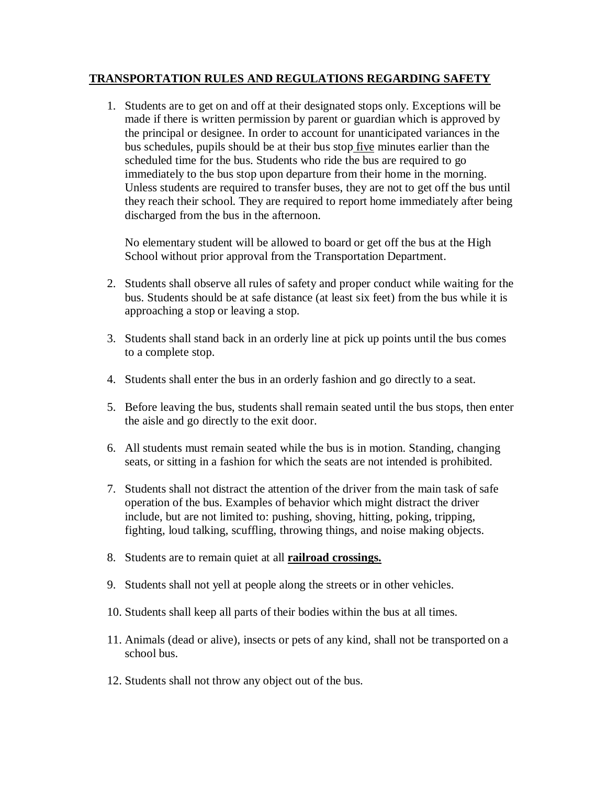## **TRANSPORTATION RULES AND REGULATIONS REGARDING SAFETY**

1. Students are to get on and off at their designated stops only. Exceptions will be made if there is written permission by parent or guardian which is approved by the principal or designee. In order to account for unanticipated variances in the bus schedules, pupils should be at their bus stop five minutes earlier than the scheduled time for the bus. Students who ride the bus are required to go immediately to the bus stop upon departure from their home in the morning. Unless students are required to transfer buses, they are not to get off the bus until they reach their school. They are required to report home immediately after being discharged from the bus in the afternoon.

No elementary student will be allowed to board or get off the bus at the High School without prior approval from the Transportation Department.

- 2. Students shall observe all rules of safety and proper conduct while waiting for the bus. Students should be at safe distance (at least six feet) from the bus while it is approaching a stop or leaving a stop.
- 3. Students shall stand back in an orderly line at pick up points until the bus comes to a complete stop.
- 4. Students shall enter the bus in an orderly fashion and go directly to a seat.
- 5. Before leaving the bus, students shall remain seated until the bus stops, then enter the aisle and go directly to the exit door.
- 6. All students must remain seated while the bus is in motion. Standing, changing seats, or sitting in a fashion for which the seats are not intended is prohibited.
- 7. Students shall not distract the attention of the driver from the main task of safe operation of the bus. Examples of behavior which might distract the driver include, but are not limited to: pushing, shoving, hitting, poking, tripping, fighting, loud talking, scuffling, throwing things, and noise making objects.
- 8. Students are to remain quiet at all **railroad crossings.**
- 9. Students shall not yell at people along the streets or in other vehicles.
- 10. Students shall keep all parts of their bodies within the bus at all times.
- 11. Animals (dead or alive), insects or pets of any kind, shall not be transported on a school bus.
- 12. Students shall not throw any object out of the bus.